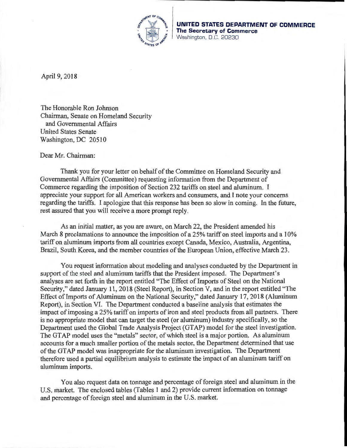

**UNITED STATES DEPARTMENT OF COMMERCE The Secretary of Commerce**  Washington, D.C. 20230

April 9, 2018

The Honorable Ron Johnson Chairman, Senate on Homeland Security and Governmental Affairs United States Senate Washington, DC 20510

Dear Mr. Chairman:

Thank you for your letter on behalf of the Committee on Homeland Security and Governmental Affairs (Committee) requesting information from the Department of Commerce regarding the imposition of Section 232 tariffs on steel and aluminum. I appreciate your support for all American workers and consumers, and I note your concerns regarding the tariffs. I apologize that this response has been so slow in coming. In the future, rest assured that you will receive a more prompt reply.

As an initial matter, as you are aware, on March 22, the President amended his March 8 proclamations to announce the imposition of a 25% tariff on steel imports and a 10% tariff on aluminum imports from all countries except Canada, Mexico, Australia, Argentina, Brazil, South Korea, and the member countries of the European Union, effective March 23.

You request information about modeling and analyses conducted by the Department in support of the steel and aluminum tariffs that the President imposed. The Department's analyses are set forth in the report entitled "The Effect of Imports of Steel on the National Security," dated January 11, 2018 (Steel Report), in Section V, and in the report entitled "The Effect of Imports of Aluminum on the National Security," dated January 17, 2018 (Aluminum Report), in Section VI. The Department conducted a baseline analysis that estimates the impact of imposing a 25% tariff on imports of iron and steel products from all partners. There is no appropriate model that can target the steel (or aluminum) industry specifically, so the Department used the Global Trade Analysis Project (GTAP) model for the steel investigation. The GTAP model uses the "metals" sector, of which steel is a major portion. As aluminum accounts for a much smaller portion of the metals sector, the Department determined that use of the GTAP model was inappropriate for the aluminum investigation. The Department therefore used a partial equilibrium analysis to estimate the impact of an aluminum tariff on aluminum imports.

You also request data on tonnage and percentage of foreign steel and aluminum in the U.S. market. The enclosed tables (Tables 1 and 2) provide current information on tonnage and percentage of foreign steel and aluminum in the U.S. market.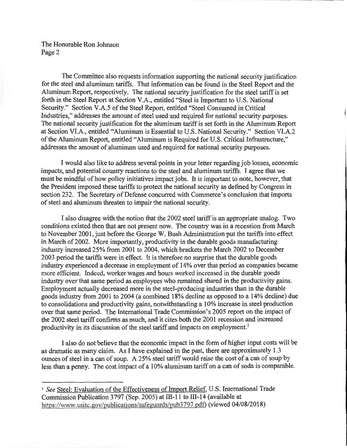The Honorable Ron Johnson Page 2

The Committee also requests information supporting the national security justification for the steel and aluminum tariffs. That information can be found in the Steel Report and the Aluminum Report, respectively. The national security justification for the steel tariff is set forth in the Steel Report at Section V.A., entitled "Steel is Important to U.S. National Security." Section V.A.5 of the Steel Report, entitled "Steel Consumed in Critical Industries," addresses the amount of steel used and required for national security purposes. The national security justification for the aluminum tariff is set forth in the Aluminum Report at Section VI.A., entitled "Aluminum is Essential to U.S. National Security." Section VI.A.2 of the Aluminum Report, entitled "Aluminum is Required for U.S. Critical Infrastructure," addresses the amount of aluminum used and required for national security purposes.

I would also like to address several points in your letter regarding job losses, economic impacts, and potential country reactions to the steel and aluminum tariffs. I agree that we must be mindful of how policy initiatives impact jobs. It is important to note, however, that the President imposed these tariffs to protect the national security as defined by Congress in section 232. The Secretary of Defense concurred with Commerce's conclusion that imports of steel and aluminum threaten to impair the national security.

I also disagree with the notion that the 2002 steel tariff is an appropriate analog. Two conditions existed then that are not present now. The country was in a recession from March to November 2001, just before the George W. Bush Administration put the tariffs into effect in March of2002. More importantly, productivity in the durable goods manufacturing industry increased 25% from 2001 to 2004, which brackets the March 2002 to December 2003 period the tariffs were in effect. It is therefore no surprise that the durable goods industry experienced a decrease in employment of 14% over that period as companies became more efficient. Indeed, worker wages and hours worked increased in the durable goods industry over that same period as employees who remained shared in the productivity gains. Employment actually decreased more in the steel-producing industries than in the durable goods industry from 2001 to 2004 (a combined 18% decline as opposed to a 14% decline) due to consolidations and productivity gains, notwithstanding a 10% increase in steel production over that same period. The International Trade Commission's 2005 report on the impact of the 2002 steel tariff confirms as much, and it cites both the 2001 recession and increased productivity in its discussion of the steel tariff and impacts on employment.<sup>1</sup>

I also do not believe that the economic impact in the form of higher input costs will be as dramatic as many claim. As I have explained in the past, there are approximately 1.3 ounces of steel in a can of soup. A 25% steel tariff would raise the cost of a can of soup by less than a penny. The cost impact of a 10% aluminum tariff on a can of soda is comparable.

<sup>&</sup>lt;sup>1</sup> See Steel: Evaluation of the Effectiveness of Import Relief, U.S. International Trade Commission Publication 3797 (Sep. 2005) at 111-11 to 111-14 (available at https://www. usitc.gov/publications/safeguards/pub3797.pdt) (viewed 04/08/2018)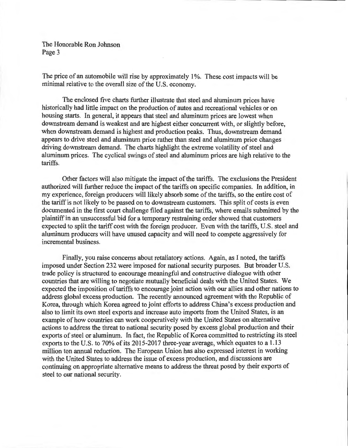The Honorable Ron Johnson Page 3

The price of an automobile will rise by approximately 1%. These cost impacts will be minimal relative to the overall size of the U.S. economy.

The enclosed five charts further illustrate that steel and aluminum prices have historically had little impact on the production of autos and recreational vehicles or on housing starts. In general, it appears that steel and aluminum prices are lowest when downstream demand is weakest and are highest either concurrent with, or slightly before, when downstream demand is highest and production peaks. Thus, downstream demand appears to drive steel and aluminum price rather than steel and aluminum price changes driving downstream demand. The charts highlight the extreme volatility of steel and aluminum prices. The cyclical swings of steel and aluminum prices are high relative to the tariffs.

Other factors will also mitigate the impact of the tariffs. The exclusions the President authorized will further reduce the impact of the tariffs on specific companies. In addition, in my experience, foreign producers will likely absorb some of the tariffs, so the entire cost of the tariff is not likely to be passed on to downstream customers. This split of costs is even documented in the first court challenge filed against the tariffs, where emails submitted by the plaintiff in an unsuccessful bid for a temporary restraining order showed that customers expected to split the tariff cost with the foreign producer. Even with the tariffs, U.S. steel and aluminum producers will have unused capacity and will need to compete aggressively for incremental business.

Finally, you raise concerns about retaliatory actions. Again, as I noted, the tariffs imposed under Section 232 were imposed for national security purposes. But broader U.S. trade policy is structured to encourage meaningful and constructive dialogue with other countries that are willing to negotiate mutually beneficial deals with the United States. We expected the imposition of tariffs to encourage joint action with our allies and other nations to address global excess production. The recently announced agreement with the Republic of Korea, through which Korea agreed to joint efforts to address China's excess production and also to limit its own steel exports and increase auto imports from the United States, is an example of how countries can work cooperatively with the United States on alternative actions to address the threat to national security posed by excess global production and their exports of steel or aluminum. In fact, the Republic of Korea committed to restricting its steel exports to the U.S. to 70% of its 2015-2017 three-year average, which equates to a 1.13 million ton annual reduction. The European Union has also expressed interest in working with the United States to address the issue of excess production, and discussions are continuing on appropriate alternative means to address the threat posed by their exports of steel to our national security.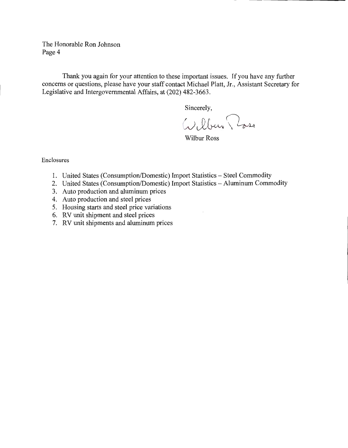The Honorable Ron Johnson Page 4

Thank you again for your attention to these important issues. If you have any further concerns or questions, please have your staff contact Michael Platt, Jr., Assistant Secretary for Legislative and Intergovernmental Affairs, at (202) 482-3663.

Sincerely,

Wilbur Ross

Enclosures

- 1. United States (Consumption/Domestic) Import Statistics Steel Commodity
- 2. United States (Consumption/Domestic) Import Statistics- Aluminum Commodity
- 3. Auto production and aluminum prices
- 4. Auto production and steel prices
- 5. Housing starts and steel price variations
- 6. RV unit shipment and steel prices
- 7. RV unit shipments and aluminum prices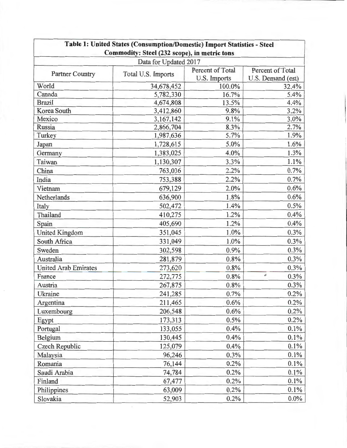|                                                               | Table 1: United States (Consumption/Domestic) Import Statistics - Steel |              |                   |  |  |
|---------------------------------------------------------------|-------------------------------------------------------------------------|--------------|-------------------|--|--|
|                                                               | Commodity: Steel (232 scope), in metric tons                            |              |                   |  |  |
| Data for Updated 2017<br>Percent of Total<br>Percent of Total |                                                                         |              |                   |  |  |
| <b>Partner Country</b>                                        | Total U.S. Imports                                                      | U.S. Imports | U.S. Demand (est) |  |  |
| World                                                         | 34,678,452                                                              | 100.0%       | 32.4%             |  |  |
| Canada                                                        | 5,782,330                                                               | 16.7%        | 5.4%              |  |  |
| <b>Brazil</b>                                                 | 4,674,808                                                               | 13.5%        | 4.4%              |  |  |
| Korea South                                                   | 3,412,860                                                               | 9.8%         | 3.2%              |  |  |
| Mexico                                                        | 3,167,142                                                               | 9.1%         | 3.0%              |  |  |
| Russia                                                        | 2,866,704                                                               | 8.3%         | 2.7%              |  |  |
| Turkey                                                        | 1,987,636                                                               | 5.7%         | 1.9%              |  |  |
| Japan                                                         | 1,728,615                                                               | 5.0%         | 1.6%              |  |  |
| Germany                                                       | 1,383,025                                                               | 4.0%         | 1.3%              |  |  |
| Taiwan                                                        | 1,130,307                                                               | 3.3%         | 1.1%              |  |  |
| China                                                         | 763,036                                                                 | 2.2%         | 0.7%              |  |  |
| India                                                         | 753,388                                                                 | 2.2%         | 0.7%              |  |  |
| Vietnam                                                       | 679,129                                                                 | 2.0%         | 0.6%              |  |  |
| Netherlands                                                   | 636,900                                                                 | 1.8%         | 0.6%              |  |  |
| Italy                                                         | 502,472                                                                 | 1.4%         | 0.5%              |  |  |
| Thailand                                                      | 410,275                                                                 | 1.2%         | 0.4%              |  |  |
| Spain                                                         | 405,690                                                                 | 1.2%         | 0.4%              |  |  |
| <b>United Kingdom</b>                                         | 351,045                                                                 | 1.0%         | 0.3%              |  |  |
| South Africa                                                  | 331,049                                                                 | 1.0%         | 0.3%              |  |  |
| Sweden                                                        | 302,598                                                                 | 0.9%         | 0.3%              |  |  |
| Australia                                                     | 281,879                                                                 | 0.8%         | 0.3%              |  |  |
| <b>United Arab Emirates</b>                                   | 273,620                                                                 | 0.8%         | 0.3%              |  |  |
| France                                                        | 272,775                                                                 | 0.8%         | ë<br>0.3%         |  |  |
| Austria                                                       | 267,875                                                                 | 0.8%         | 0.3%              |  |  |
| Ukraine                                                       | 241,285                                                                 | 0.7%         | 0.2%              |  |  |
| Argentina                                                     | 211,465                                                                 | 0.6%         | 0.2%              |  |  |
| Luxembourg                                                    | 206,548                                                                 | 0.6%         | 0.2%              |  |  |
| Egypt                                                         | 173,313                                                                 | 0.5%         | 0.2%              |  |  |
| Portugal                                                      | 133,055                                                                 | 0.4%         | 0.1%              |  |  |
| Belgium                                                       | 130,445                                                                 | 0.4%         | 0.1%              |  |  |
| Czech Republic                                                | 125,079                                                                 | 0.4%         | 0.1%              |  |  |
| Malaysia                                                      | 96,246                                                                  | 0.3%         | 0.1%              |  |  |
| Romania                                                       | 76,144                                                                  | 0.2%         | 0.1%              |  |  |
| Saudi Arabia                                                  | 74,784                                                                  | 0.2%         | 0.1%              |  |  |
| Finland                                                       | 67,477                                                                  | 0.2%         | 0.1%              |  |  |
| Philippines                                                   | 63,009                                                                  | 0.2%         | 0.1%              |  |  |
| Slovakia                                                      | 52,903                                                                  | 0.2%         | $0.0\%$           |  |  |
|                                                               |                                                                         |              |                   |  |  |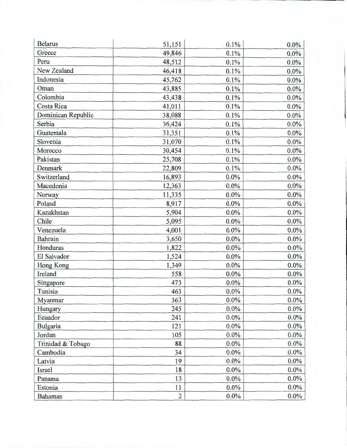| <b>Belarus</b>     | 51,151         | 0.1%    | $0.0\%$ |
|--------------------|----------------|---------|---------|
| Greece             | 49,846         | 0.1%    | 0.0%    |
| Peru               | 48,512         | 0.1%    | $0.0\%$ |
| New Zealand        | 46,418         | 0.1%    | 0.0%    |
| Indonesia          | 45,762         | 0.1%    | 0.0%    |
| Oman               | 43,885         | 0.1%    | $0.0\%$ |
| Colombia           | 43,438         | 0.1%    | 0.0%    |
| Costa Rica         | 41,011         | 0.1%    | 0.0%    |
| Dominican Republic | 38,088         | 0.1%    | $0.0\%$ |
| Serbia             | 36,424         | 0.1%    | 0.0%    |
| Guatemala          | 31,351         | 0.1%    | $0.0\%$ |
| Slovenia           | 31,070         | 0.1%    | $0.0\%$ |
| Morocco            | 30,454         | 0.1%    | $0.0\%$ |
| Pakistan           | 25,708         | 0.1%    | $0.0\%$ |
| Denmark            | 22,809         | 0.1%    | $0.0\%$ |
| Switzerland        | 16,893         | 0.0%    | $0.0\%$ |
| Macedonia          | 12,363         | 0.0%    | $0.0\%$ |
| Norway             | 11,335         | 0.0%    | $0.0\%$ |
| Poland             | 8,917          | 0.0%    | $0.0\%$ |
| Kazakhstan         | 5,904          | $0.0\%$ | 0.0%    |
| Chile              | 5,095          | $0.0\%$ | $0.0\%$ |
| Venezuela          | 4,001          | $0.0\%$ | $0.0\%$ |
| Bahrain            | 3,650          | 0.0%    | $0.0\%$ |
| Honduras           | 1,822          | $0.0\%$ | $0.0\%$ |
| El Salvador        | 1,524          | 0.0%    | 0.0%    |
| <b>Hong Kong</b>   | 1,349          | $0.0\%$ | $0.0\%$ |
| Ireland            | 558            | 0.0%    | $0.0\%$ |
| Singapore          | 473            | $0.0\%$ | $0.0\%$ |
| Tunisia            | 463            | $0.0\%$ | $0.0\%$ |
| Myanmar            | 363            | $0.0\%$ | $0.0\%$ |
| Hungary            | 245            | 0.0%    | $0.0\%$ |
| Ecuador            | 241            | $0.0\%$ | $0.0\%$ |
| Bulgaria           | 121            | $0.0\%$ | $0.0\%$ |
| Jordan             | 105            | 0.0%    | $0.0\%$ |
| Trinidad & Tobago  | 88             | 0.0%    | $0.0\%$ |
| Cambodia           | 34             | 0.0%    | $0.0\%$ |
| Latvia             | 19             | 0.0%    | $0.0\%$ |
| Israel             | 18             | $0.0\%$ | $0.0\%$ |
| Panama             | 13             | 0.0%    | $0.0\%$ |
| Estonia            | 11             | $0.0\%$ | $0.0\%$ |
| <b>Bahamas</b>     | $\overline{2}$ | 0.0%    | $0.0\%$ |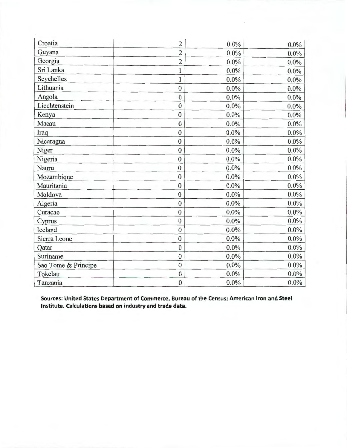| Croatia             | $\overline{2}$   | 0.0%    | $0.0\%$ |
|---------------------|------------------|---------|---------|
| Guyana              | $\overline{c}$   | 0.0%    | $0.0\%$ |
| Georgia             | $\overline{2}$   | 0.0%    | 0.0%    |
| Sri Lanka           | $\mathbf{1}$     | 0.0%    | 0.0%    |
| Seychelles          | $\mathbf{1}$     | 0.0%    | 0.0%    |
| Lithuania           | $\bf{0}$         | 0.0%    | 0.0%    |
| Angola              | $\bf{0}$         | 0.0%    | 0.0%    |
| Liechtenstein       | $\pmb{0}$        | 0.0%    | $0.0\%$ |
| Kenya               | $\bf{0}$         | 0.0%    | $0.0\%$ |
| Macau               | $\bf{0}$         | 0.0%    | $0.0\%$ |
| Iraq                | $\boldsymbol{0}$ | $0.0\%$ | 0.0%    |
| Nicaragua           | $\mathbf{0}$     | 0.0%    | $0.0\%$ |
| Niger               | $\bf{0}$         | 0.0%    | $0.0\%$ |
| Nigeria             | $\bf{0}$         | 0.0%    | 0.0%    |
| Nauru               | $\bf{0}$         | 0.0%    | $0.0\%$ |
| Mozambique          | $\bf{0}$         | $0.0\%$ | $0.0\%$ |
| Mauritania          | $\bf{0}$         | $0.0\%$ | $0.0\%$ |
| Moldova             | $\bf{0}$         | 0.0%    | $0.0\%$ |
| Algeria             | $\bf{0}$         | $0.0\%$ | $0.0\%$ |
| Curacao             | $\bf{0}$         | $0.0\%$ | $0.0\%$ |
| Cyprus              | $\bf{0}$         | 0.0%    | $0.0\%$ |
| Iceland             | $\bf{0}$         | 0.0%    | $0.0\%$ |
| Sierra Leone        | $\bf{0}$         | 0.0%    | $0.0\%$ |
| Qatar               | $\boldsymbol{0}$ | $0.0\%$ | $0.0\%$ |
| Suriname            | $\bf{0}$         | 0.0%    | 0.0%    |
| Sao Tome & Principe | $\bf{0}$         | 0.0%    | $0.0\%$ |
| Tokelau             | $\bf{0}$         | $0.0\%$ | $0.0\%$ |
| Tanzania            | $\overline{0}$   | 0.0%    | $0.0\%$ |

**Sources: United States Department of Commerce, Bureau of the Census; American Iron and Steel Institute. Calculations based on industry and trade data.**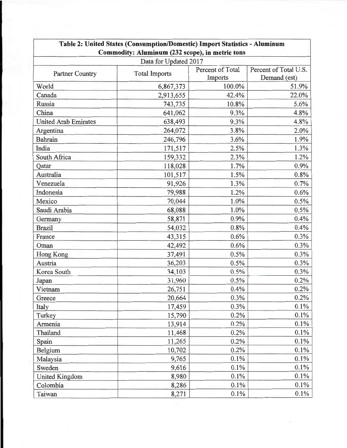|                             | Data for Updated 2017 |                             |                                       |
|-----------------------------|-----------------------|-----------------------------|---------------------------------------|
| <b>Partner Country</b>      | <b>Total Imports</b>  | Percent of Total<br>Imports | Percent of Total U.S.<br>Demand (est) |
| World                       | 6,867,373             | 100.0%                      | 51.9%                                 |
| Canada                      | 2,913,655             | 42.4%                       | 22.0%                                 |
| Russia                      | 743,735               | 10.8%                       | 5.6%                                  |
| China                       | 641,062               | 9.3%                        | 4.8%                                  |
| <b>United Arab Emirates</b> | 638,493               | 9.3%                        | 4.8%                                  |
| Argentina                   | 264,072               | 3.8%                        | 2.0%                                  |
| Bahrain                     | 246,796               | 3.6%                        | 1.9%                                  |
| India                       | 171,517               | 2.5%                        | 1.3%                                  |
| South Africa                | 159,332               | 2.3%                        | 1.2%                                  |
| Qatar                       | 118,028               | 1.7%                        | 0.9%                                  |
| Australia                   | 101,517               | 1.5%                        | 0.8%                                  |
| Venezuela                   | 91,926                | 1.3%                        | 0.7%                                  |
| Indonesia                   | 79,988                | 1.2%                        | 0.6%                                  |
| Mexico                      | 70,044                | 1.0%                        | 0.5%                                  |
| Saudi Arabia                | 68,088                | 1.0%                        | 0.5%                                  |
| Germany                     | 58,871                | 0.9%                        | 0.4%                                  |
| <b>Brazil</b>               | 54,032                | 0.8%                        | 0.4%                                  |
| France                      | 43,315                | 0.6%                        | 0.3%                                  |
| Oman                        | 42,492                | 0.6%                        | 0.3%                                  |
| <b>Hong Kong</b>            | 37,491                | 0.5%                        | 0.3%                                  |
| Austria                     | 36,203                | 0.5%                        | 0.3%                                  |
| Korea South                 | 34,103                | 0.5%                        | 0.3%                                  |
| Japan                       | 31,960                | 0.5%                        | 0.2%                                  |
| Vietnam                     | 26,751                | 0.4%                        | 0.2%                                  |
| Greece                      | 20,664                | 0.3%                        | 0.2%                                  |
| Italy                       | 17,459                | 0.3%                        | 0.1%                                  |
| Turkey                      | 15,790                | 0.2%                        | 0.1%                                  |
| Armenia                     | 13,914                | 0.2%                        | 0.1%                                  |
| Thailand                    | 11,468                | 0.2%                        | 0.1%                                  |
| Spain                       | 11,265                | 0.2%                        | 0.1%                                  |
| Belgium                     | 10,702                | 0.2%                        | 0.1%                                  |
| Malaysia                    | 9,765                 | 0.1%                        | 0.1%                                  |
| Sweden                      | 9,616                 | 0.1%                        | 0.1%                                  |
| <b>United Kingdom</b>       | 8,980                 | 0.1%                        | 0.1%                                  |
| Colombia                    | 8,286                 | 0.1%                        | 0.1%                                  |
| Taiwan                      | 8,271                 | 0.1%                        | 0.1%                                  |

 $\epsilon$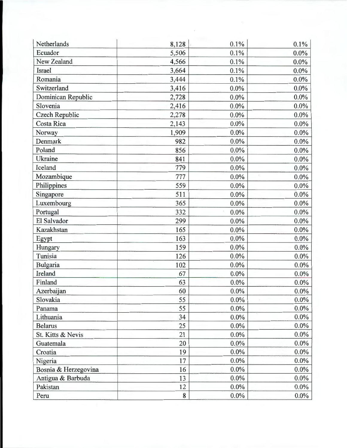| Netherlands          | 8,128 | 0.1%              | 0.1%    |
|----------------------|-------|-------------------|---------|
| Ecuador              | 5,506 | 0.1%              | 0.0%    |
| New Zealand          | 4,566 | 0.1%              | $0.0\%$ |
| Israel               | 3,664 | 0.1%              | 0.0%    |
| Romania              | 3,444 | 0.1%              | $0.0\%$ |
| Switzerland          | 3,416 | $0.0\%$           | $0.0\%$ |
| Dominican Republic   | 2,728 | $0.0\%$           | 0.0%    |
| Slovenia             | 2,416 | 0.0%              | $0.0\%$ |
| Czech Republic       | 2,278 | 0.0%              | $0.0\%$ |
| Costa Rica           | 2,143 | 0.0%              | 0.0%    |
| Norway               | 1,909 | $0.0\%$           | $0.0\%$ |
| Denmark              | 982   | $0.0\%$           | $0.0\%$ |
| Poland               | 856   | $0.0\%$           | $0.0\%$ |
| Ukraine              | 841   | $0.0\%$           | $0.0\%$ |
| Iceland              | 779   | $0.0\%$           | $0.0\%$ |
| Mozambique           | 777   | $0.0\%$<br>$\sim$ | $0.0\%$ |
| Philippines          | 559   | $0.0\%$           | $0.0\%$ |
| Singapore            | 511   | $0.0\%$           | $0.0\%$ |
| Luxembourg           | 365   | $0.0\%$           | 0.0%    |
| Portugal             | 332   | 0.0%              | $0.0\%$ |
| El Salvador          | 299   | $0.0\%$           | $0.0\%$ |
| Kazakhstan           | 165   | 0.0%              | $0.0\%$ |
| Egypt                | 163   | 0.0%              | $0.0\%$ |
| Hungary              | 159   | 0.0%              | $0.0\%$ |
| Tunisia              | 126   | 0.0%              | $0.0\%$ |
| Bulgaria             | 102   | 0.0%              | $0.0\%$ |
| Ireland              | 67    | 0.0%              | $0.0\%$ |
| Finland              | 63    | $0.0\%$           | $0.0\%$ |
| Azerbaijan           | 60    | $0.0\%$           | $0.0\%$ |
| Slovakia             | 55    | 0.0%              | $0.0\%$ |
| Panama               | 55    | $0.0\%$           | $0.0\%$ |
| Lithuania            | 34    | $0.0\%$           | $0.0\%$ |
| <b>Belarus</b>       | 25    | $0.0\%$           | $0.0\%$ |
| St. Kitts & Nevis    | 21    | 0.0%              | $0.0\%$ |
| Guatemala            | 20    | $0.0\%$           | $0.0\%$ |
| Croatia              | 19    | $0.0\%$           | $0.0\%$ |
| Nigeria              | 17    | 0.0%              | $0.0\%$ |
| Bosnia & Herzegovina | 16    | $0.0\%$           | $0.0\%$ |
| Antigua & Barbuda    | 13    | 0.0%              | $0.0\%$ |
| Pakistan             | 12    | $0.0\%$           | $0.0\%$ |
| Peru                 | 8     | $0.0\%$           | $0.0\%$ |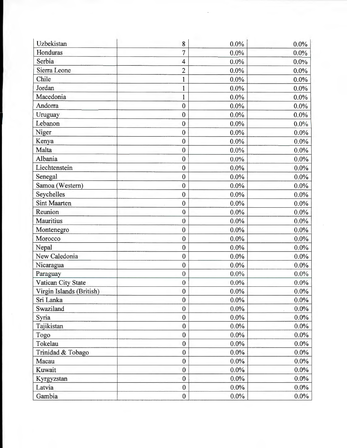| Uzbekistan               | 8                | $0.0\%$ | $0.0\%$ |
|--------------------------|------------------|---------|---------|
| Honduras                 | $\overline{7}$   | 0.0%    | 0.0%    |
| Serbia                   | 4                | 0.0%    | 0.0%    |
| Sierra Leone             | $\overline{2}$   | $0.0\%$ | $0.0\%$ |
| Chile                    | $\mathbf{1}$     | $0.0\%$ | 0.0%    |
| Jordan                   | $\mathbf{1}$     | $0.0\%$ | $0.0\%$ |
| Macedonia                | $\mathbf{1}$     | $0.0\%$ | $0.0\%$ |
| Andorra                  | $\bf{0}$         | 0.0%    | $0.0\%$ |
| Uruguay                  | $\bf{0}$         | 0.0%    | 0.0%    |
| Lebanon                  | $\bf{0}$         | 0.0%    | $0.0\%$ |
| Niger                    | $\bf{0}$         | $0.0\%$ | $0.0\%$ |
| Kenya                    | $\bf{0}$         | 0.0%    | $0.0\%$ |
| Malta                    | $\bf{0}$         | 0.0%    | $0.0\%$ |
| Albania                  | $\bf{0}$         | $0.0\%$ | $0.0\%$ |
| Liechtenstein            | $\bf{0}$         | $0.0\%$ | $0.0\%$ |
| Senegal                  | $\mathbf{0}$     | $0.0\%$ | $0.0\%$ |
| Samoa (Western)          | $\bf{0}$         | 0.0%    | $0.0\%$ |
| Seychelles               | $\bf{0}$         | 0.0%    | 0.0%    |
| <b>Sint Maarten</b>      | $\mathbf{0}$     | 0.0%    | 0.0%    |
| Reunion                  | $\boldsymbol{0}$ | 0.0%    | $0.0\%$ |
| Mauritius                | $\boldsymbol{0}$ | 0.0%    | $0.0\%$ |
| Montenegro               | $\mathbf{0}$     | 0.0%    | $0.0\%$ |
| Morocco                  | $\mathbf{0}$     | 0.0%    | $0.0\%$ |
| Nepal                    | $\mathbf{0}$     | 0.0%    | $0.0\%$ |
| New Caledonia            | $\boldsymbol{0}$ | 0.0%    | 0.0%    |
| Nicaragua                | $\boldsymbol{0}$ | 0.0%    | $0.0\%$ |
| Paraguay                 | $\boldsymbol{0}$ | 0.0%    | $0.0\%$ |
| Vatican City State       | $\boldsymbol{0}$ | $0.0\%$ | $0.0\%$ |
| Virgin Islands (British) | $\boldsymbol{0}$ | $0.0\%$ | $0.0\%$ |
| Sri Lanka                | $\bf{0}$         | $0.0\%$ | $0.0\%$ |
| Swaziland                | $\boldsymbol{0}$ | $0.0\%$ | 0.0%    |
| Syria                    | $\boldsymbol{0}$ | $0.0\%$ | $0.0\%$ |
| Tajikistan               | $\overline{0}$   | $0.0\%$ | $0.0\%$ |
| Togo                     | $\bf{0}$         | $0.0\%$ | $0.0\%$ |
| Tokelau                  | $\bf{0}$         | $0.0\%$ | $0.0\%$ |
| Trinidad & Tobago        | $\mathbf{0}$     | $0.0\%$ | $0.0\%$ |
| Macau                    | $\bf{0}$         | $0.0\%$ | $0.0\%$ |
| Kuwait                   | $\bf{0}$         | $0.0\%$ | $0.0\%$ |
| Kyrgyzstan               | $\bf{0}$         | $0.0\%$ | $0.0\%$ |
| Latvia                   | $\mathbf{0}$     | $0.0\%$ | $0.0\%$ |
| Gambia                   | $\bf{0}$         | $0.0\%$ | $0.0\%$ |

 $\bar{\phantom{a}}$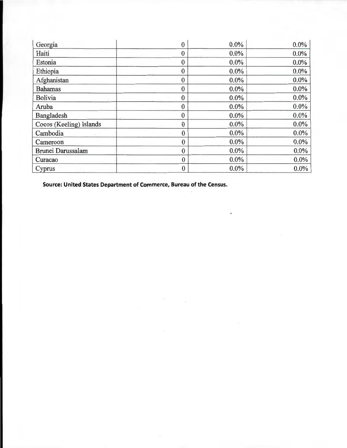| Georgia                 | 0                | 0.0%    | $0.0\%$ |
|-------------------------|------------------|---------|---------|
| Haiti                   | $\boldsymbol{0}$ | 0.0%    | $0.0\%$ |
| Estonia                 | $\bf{0}$         | 0.0%    | $0.0\%$ |
| Ethiopia                | $\mathbf{0}$     | 0.0%    | 0.0%    |
| Afghanistan             | $\mathbf{0}$     | $0.0\%$ | $0.0\%$ |
| <b>Bahamas</b>          | $\mathbf{0}$     | 0.0%    | $0.0\%$ |
| <b>Bolivia</b>          | $\mathbf{0}$     | $0.0\%$ | $0.0\%$ |
| Aruba                   | $\bf{0}$         | $0.0\%$ | $0.0\%$ |
| Bangladesh              | $\mathbf{0}$     | $0.0\%$ | $0.0\%$ |
| Cocos (Keeling) Islands | $\mathbf{0}$     | $0.0\%$ | $0.0\%$ |
| Cambodia                | $\mathbf{0}$     | $0.0\%$ | $0.0\%$ |
| Cameroon                | $\bf{0}$         | $0.0\%$ | $0.0\%$ |
| Brunei Darussalam       | $\theta$         | $0.0\%$ | 0.0%    |
| Curacao                 | $\mathbf{0}$     | $0.0\%$ | $0.0\%$ |
| Cyprus                  | $\boldsymbol{0}$ | $0.0\%$ | $0.0\%$ |

**Source: United States Department of Commerce, Bureau of the Census.**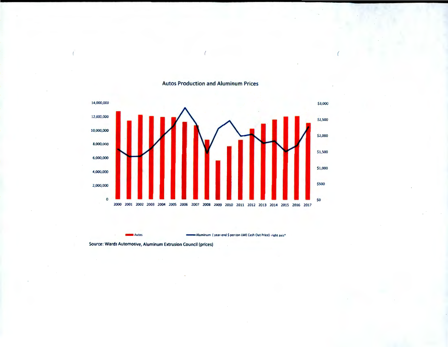

**Aluminum (year-end S per ton l ME Cash Out Price)· right axis•** 

## Autos Production and Aluminum Prices

Source: Wards Automotive, Aluminum Extrusion Council (prices)

**Autos -**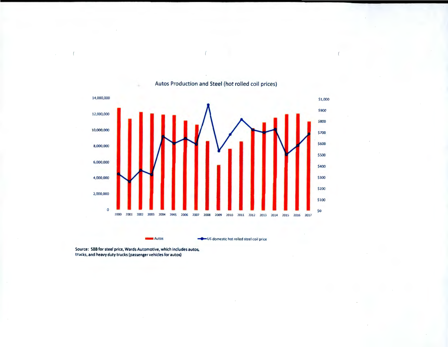

Autos Production and Steel (hot rolled coil prices)

Autos ..\_US domestic hot rolled steel coi l price

Source: SBB for steel price, Wards Automotive, which includes autos, trucks, and heavy duty trucks (passenger vehicles for autos)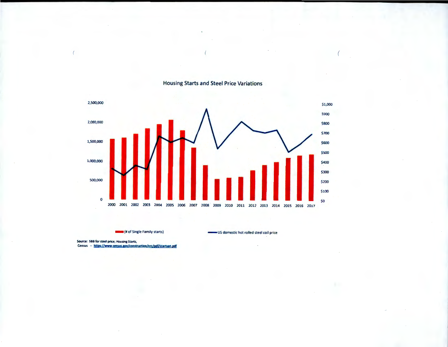

**Housing Starts and Steel Price Variations** 

**READ (# of Single Family starts)** 

US domestic hot rolled steel coil price

Source: SBB for steel price; Housing Starts, Census -- https://www.census.gov/construction/nrc/pdf/startsan.pdf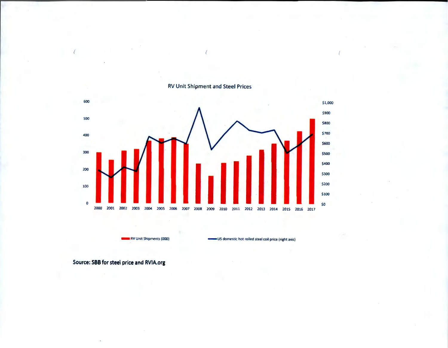

**RV Unit Shipment and Steel Prices** 

RV Unit Shipments (000)

US domestic hot rolled steel coil price (right axis)

Source: SBB for steel price and RVIA.org